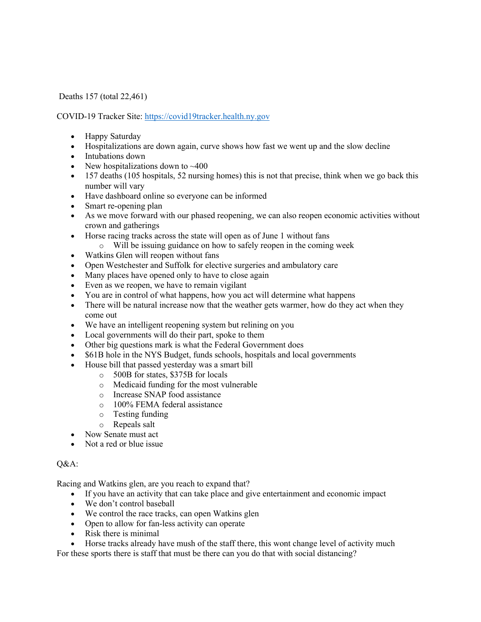Deaths 157 (total 22,461)

COVID-19 Tracker Site: https://covid19tracker.health.ny.gov

- Happy Saturday
- Hospitalizations are down again, curve shows how fast we went up and the slow decline
- Intubations down
- New hospitalizations down to  $~400$
- 157 deaths (105 hospitals, 52 nursing homes) this is not that precise, think when we go back this number will vary
- Have dashboard online so everyone can be informed
- Smart re-opening plan
- As we move forward with our phased reopening, we can also reopen economic activities without crown and gatherings
- Horse racing tracks across the state will open as of June 1 without fans
- o Will be issuing guidance on how to safely reopen in the coming week
- Watkins Glen will reopen without fans
- Open Westchester and Suffolk for elective surgeries and ambulatory care
- Many places have opened only to have to close again
- Even as we reopen, we have to remain vigilant
- You are in control of what happens, how you act will determine what happens
- There will be natural increase now that the weather gets warmer, how do they act when they come out
- We have an intelligent reopening system but relining on you
- Local governments will do their part, spoke to them
- Other big questions mark is what the Federal Government does
- \$61B hole in the NYS Budget, funds schools, hospitals and local governments
- House bill that passed yesterday was a smart bill
	- o 500B for states, \$375B for locals
	- o Medicaid funding for the most vulnerable
	- o Increase SNAP food assistance
	- o 100% FEMA federal assistance
	- o Testing funding
	- o Repeals salt
- Now Senate must act
- Not a red or blue issue

## Q&A:

Racing and Watkins glen, are you reach to expand that?

- If you have an activity that can take place and give entertainment and economic impact
- We don't control baseball
- We control the race tracks, can open Watkins glen
- Open to allow for fan-less activity can operate
- Risk there is minimal
- Horse tracks already have mush of the staff there, this wont change level of activity much
- For these sports there is staff that must be there can you do that with social distancing?